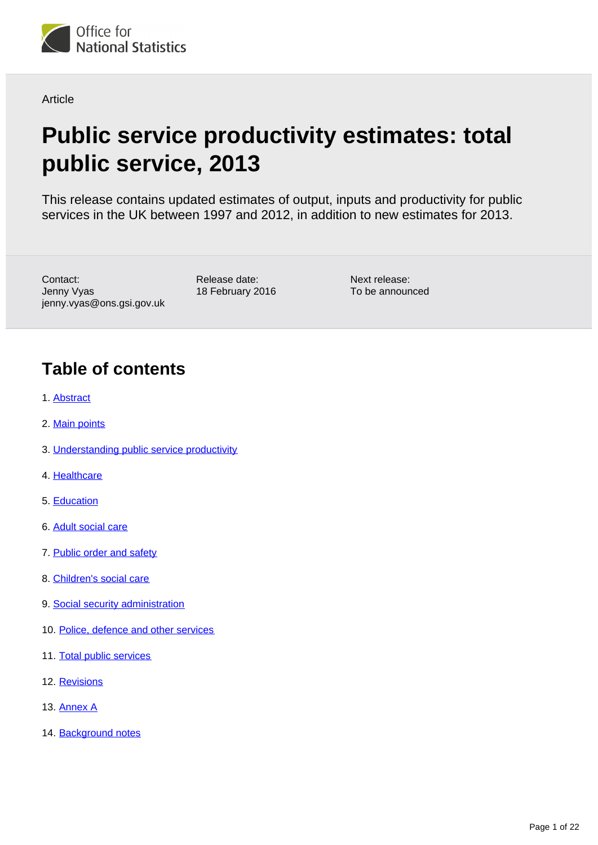

Article

# **Public service productivity estimates: total public service, 2013**

This release contains updated estimates of output, inputs and productivity for public services in the UK between 1997 and 2012, in addition to new estimates for 2013.

Contact: Jenny Vyas jenny.vyas@ons.gsi.gov.uk Release date: 18 February 2016

Next release: To be announced

## **Table of contents**

- 1. [Abstract](#page-1-0)
- 2. [Main points](#page-1-1)
- 3. [Understanding public service productivity](#page-2-0)
- 4. [Healthcare](#page-3-0)
- 5. [Education](#page-4-0)
- 6. [Adult social care](#page-6-0)
- 7. [Public order and safety](#page-7-0)
- 8. [Children's social care](#page-9-0)
- 9. [Social security administration](#page-10-0)
- 10. [Police, defence and other services](#page-12-0)
- 11. [Total public services](#page-13-0)
- 12. [Revisions](#page-16-0)
- 13. [Annex A](#page-18-0)
- 14. [Background notes](#page-19-0)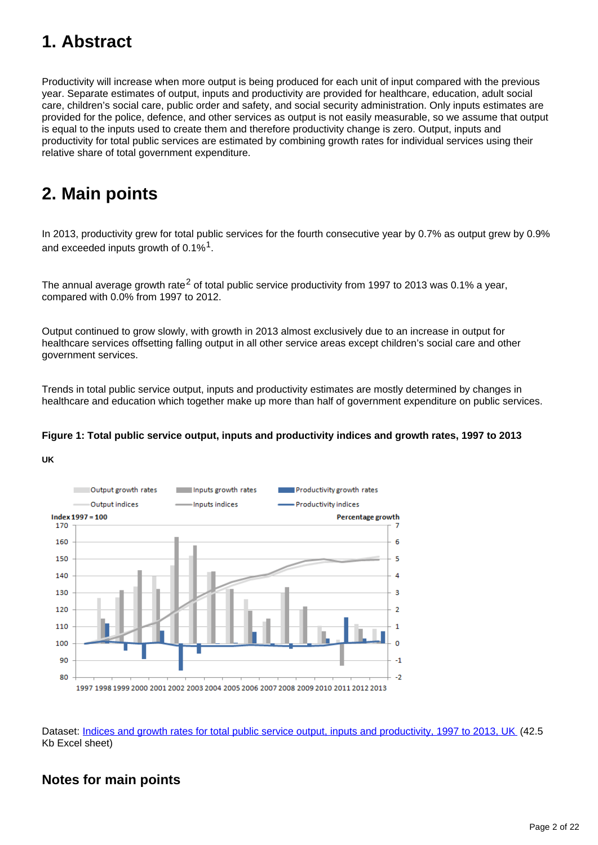## <span id="page-1-0"></span>**1. Abstract**

Productivity will increase when more output is being produced for each unit of input compared with the previous year. Separate estimates of output, inputs and productivity are provided for healthcare, education, adult social care, children's social care, public order and safety, and social security administration. Only inputs estimates are provided for the police, defence, and other services as output is not easily measurable, so we assume that output is equal to the inputs used to create them and therefore productivity change is zero. Output, inputs and productivity for total public services are estimated by combining growth rates for individual services using their relative share of total government expenditure.

## <span id="page-1-1"></span>**2. Main points**

In 2013, productivity grew for total public services for the fourth consecutive year by 0.7% as output grew by 0.9% and exceeded inputs growth of 0.1% $^1$ .

The annual average growth rate<sup>2</sup> of total public service productivity from 1997 to 2013 was 0.1% a year, compared with 0.0% from 1997 to 2012.

Output continued to grow slowly, with growth in 2013 almost exclusively due to an increase in output for healthcare services offsetting falling output in all other service areas except children's social care and other government services.

Trends in total public service output, inputs and productivity estimates are mostly determined by changes in healthcare and education which together make up more than half of government expenditure on public services.

### **Figure 1: Total public service output, inputs and productivity indices and growth rates, 1997 to 2013**





Dataset: [Indices and growth rates for total public service output, inputs and productivity, 1997 to 2013, UK](http://www.ons.gov.uk/ons/rel/psa/public-sector-productivity-estimates--total-public-sector/2013/rft-1.xls) (42.5) Kb Excel sheet)

### **Notes for main points**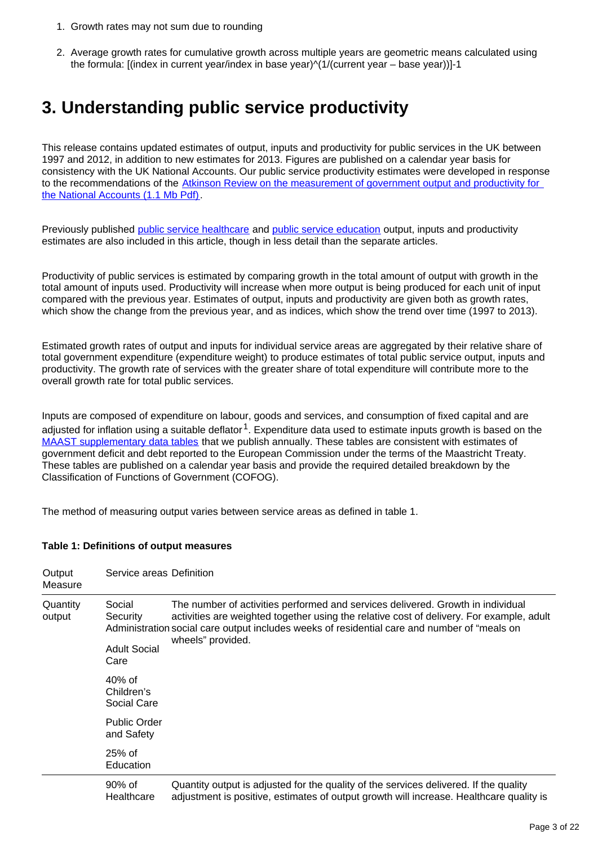- 1. Growth rates may not sum due to rounding
- 2. Average growth rates for cumulative growth across multiple years are geometric means calculated using the formula: [(index in current year/index in base year)^(1/(current year – base year))]-1

### <span id="page-2-0"></span>**3. Understanding public service productivity**

This release contains updated estimates of output, inputs and productivity for public services in the UK between 1997 and 2012, in addition to new estimates for 2013. Figures are published on a calendar year basis for consistency with the UK National Accounts. Our public service productivity estimates were developed in response to the recommendations of the [Atkinson Review on the measurement of government output and productivity for](http://www.ons.gov.uk/ons/guide-method/method-quality/specific/public-sector-methodology/articles/atkinson-review-final-report.pdf)  [the National Accounts \(1.1 Mb Pdf\)](http://www.ons.gov.uk/ons/guide-method/method-quality/specific/public-sector-methodology/articles/atkinson-review-final-report.pdf).

Previously published [public service healthcare](http://www.ons.gov.uk/ons/rel/psa/public-sector-productivity-estimates--healthcare/2013/art-public-service-productivity-estimates--healthcare-2013.html) and [public service education](http://www.ons.gov.uk/ons/rel/psa/public-sector-productivity-estimates--education/2013-/art-public-sector-productivity-estimates--education-2013.html) output, inputs and productivity estimates are also included in this article, though in less detail than the separate articles.

Productivity of public services is estimated by comparing growth in the total amount of output with growth in the total amount of inputs used. Productivity will increase when more output is being produced for each unit of input compared with the previous year. Estimates of output, inputs and productivity are given both as growth rates, which show the change from the previous year, and as indices, which show the trend over time (1997 to 2013).

Estimated growth rates of output and inputs for individual service areas are aggregated by their relative share of total government expenditure (expenditure weight) to produce estimates of total public service output, inputs and productivity. The growth rate of services with the greater share of total expenditure will contribute more to the overall growth rate for total public services.

Inputs are composed of expenditure on labour, goods and services, and consumption of fixed capital and are adjusted for inflation using a suitable deflator<sup>1</sup>. Expenditure data used to estimate inputs growth is based on the [MAAST supplementary data tables](http://www.ons.gov.uk/ons/rel/psa/maast-supplementary-data-tables/q4-2014/index.html) that we publish annually. These tables are consistent with estimates of government deficit and debt reported to the European Commission under the terms of the Maastricht Treaty. These tables are published on a calendar year basis and provide the required detailed breakdown by the Classification of Functions of Government (COFOG).

The method of measuring output varies between service areas as defined in table 1.

### **Table 1: Definitions of output measures**

| Output<br>Measure  | Service areas Definition                          |                                                                                                                                                                                                                                                                                                  |
|--------------------|---------------------------------------------------|--------------------------------------------------------------------------------------------------------------------------------------------------------------------------------------------------------------------------------------------------------------------------------------------------|
| Quantity<br>output | Social<br>Security<br><b>Adult Social</b><br>Care | The number of activities performed and services delivered. Growth in individual<br>activities are weighted together using the relative cost of delivery. For example, adult<br>Administration social care output includes weeks of residential care and number of "meals on<br>wheels" provided. |
|                    | $40\%$ of<br>Children's<br>Social Care            |                                                                                                                                                                                                                                                                                                  |
|                    | <b>Public Order</b><br>and Safety                 |                                                                                                                                                                                                                                                                                                  |
|                    | $25%$ of<br>Education                             |                                                                                                                                                                                                                                                                                                  |
|                    | $90\%$ of<br>Healthcare                           | Quantity output is adjusted for the quality of the services delivered. If the quality<br>adjustment is positive, estimates of output growth will increase. Healthcare quality is                                                                                                                 |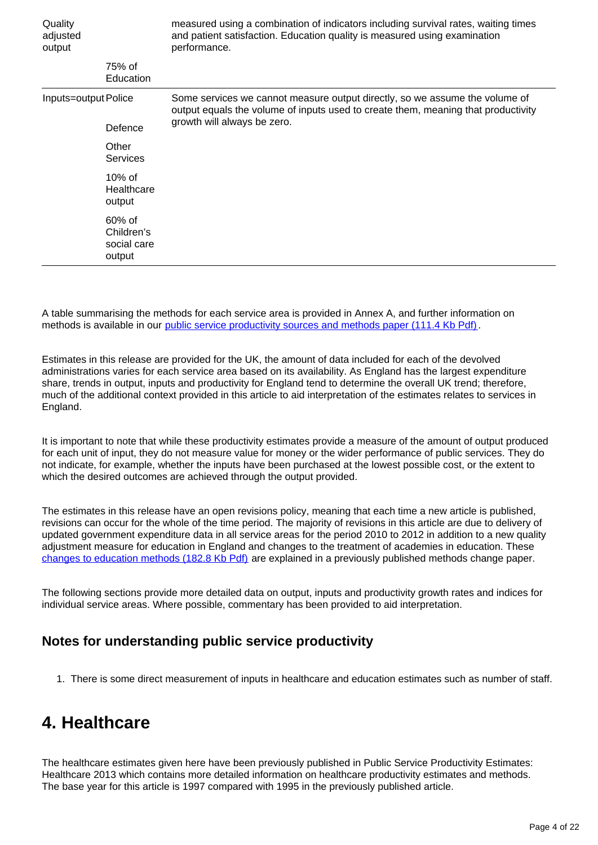| Quality<br>adjusted<br>output |                                                  | measured using a combination of indicators including survival rates, waiting times<br>and patient satisfaction. Education quality is measured using examination<br>performance. |  |
|-------------------------------|--------------------------------------------------|---------------------------------------------------------------------------------------------------------------------------------------------------------------------------------|--|
|                               | 75% of<br>Education                              |                                                                                                                                                                                 |  |
| Inputs=output Police          |                                                  | Some services we cannot measure output directly, so we assume the volume of<br>output equals the volume of inputs used to create them, meaning that productivity                |  |
|                               | Defence                                          | growth will always be zero.                                                                                                                                                     |  |
|                               | Other<br>Services                                |                                                                                                                                                                                 |  |
|                               | $10\%$ of<br>Healthcare<br>output                |                                                                                                                                                                                 |  |
|                               | $60\%$ of<br>Children's<br>social care<br>output |                                                                                                                                                                                 |  |

A table summarising the methods for each service area is provided in Annex A, and further information on methods is available in our [public service productivity sources and methods paper \(111.4 Kb Pdf\)](http://www.ons.gov.uk/ons/guide-method/method-quality/specific/public-sector-methodology/articles/sources-and-methods.pdf).

Estimates in this release are provided for the UK, the amount of data included for each of the devolved administrations varies for each service area based on its availability. As England has the largest expenditure share, trends in output, inputs and productivity for England tend to determine the overall UK trend; therefore, much of the additional context provided in this article to aid interpretation of the estimates relates to services in England.

It is important to note that while these productivity estimates provide a measure of the amount of output produced for each unit of input, they do not measure value for money or the wider performance of public services. They do not indicate, for example, whether the inputs have been purchased at the lowest possible cost, or the extent to which the desired outcomes are achieved through the output provided.

The estimates in this release have an open revisions policy, meaning that each time a new article is published, revisions can occur for the whole of the time period. The majority of revisions in this article are due to delivery of updated government expenditure data in all service areas for the period 2010 to 2012 in addition to a new quality adjustment measure for education in England and changes to the treatment of academies in education. These [changes to education methods \(182.8 Kb Pdf\)](http://www.ons.gov.uk/ons/guide-method/method-quality/specific/public-sector-methodology/articles/methods-change-in-public-service-productivity-estimates--education-2013.pdf) are explained in a previously published methods change paper.

The following sections provide more detailed data on output, inputs and productivity growth rates and indices for individual service areas. Where possible, commentary has been provided to aid interpretation.

### **Notes for understanding public service productivity**

1. There is some direct measurement of inputs in healthcare and education estimates such as number of staff.

### <span id="page-3-0"></span>**4. Healthcare**

The healthcare estimates given here have been previously published in Public Service Productivity Estimates: Healthcare 2013 which contains more detailed information on healthcare productivity estimates and methods. The base year for this article is 1997 compared with 1995 in the previously published article.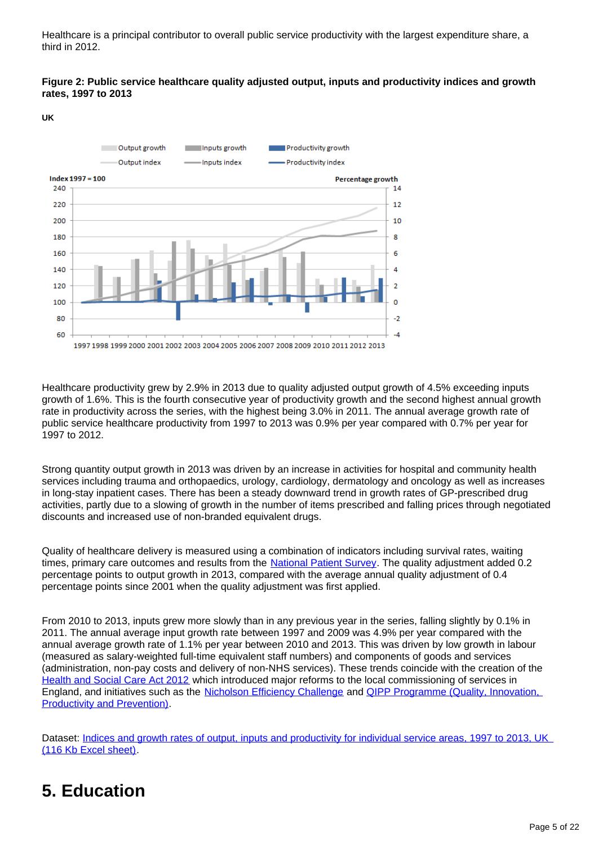Healthcare is a principal contributor to overall public service productivity with the largest expenditure share, a third in 2012.

#### **Figure 2: Public service healthcare quality adjusted output, inputs and productivity indices and growth rates, 1997 to 2013**

**UK**



Healthcare productivity grew by 2.9% in 2013 due to quality adjusted output growth of 4.5% exceeding inputs growth of 1.6%. This is the fourth consecutive year of productivity growth and the second highest annual growth rate in productivity across the series, with the highest being 3.0% in 2011. The annual average growth rate of public service healthcare productivity from 1997 to 2013 was 0.9% per year compared with 0.7% per year for 1997 to 2012.

Strong quantity output growth in 2013 was driven by an increase in activities for hospital and community health services including trauma and orthopaedics, urology, cardiology, dermatology and oncology as well as increases in long-stay inpatient cases. There has been a steady downward trend in growth rates of GP-prescribed drug activities, partly due to a slowing of growth in the number of items prescribed and falling prices through negotiated discounts and increased use of non-branded equivalent drugs.

Quality of healthcare delivery is measured using a combination of indicators including survival rates, waiting times, primary care outcomes and results from the [National Patient Survey](http://www.pickereurope.org/wp-content/uploads/2014/10/Inpatients_2015_spec_v12.pdf?gclid=CKPz4ZqfxcoCFQbnwgodWeAGHw). The quality adjustment added 0.2 percentage points to output growth in 2013, compared with the average annual quality adjustment of 0.4 percentage points since 2001 when the quality adjustment was first applied.

From 2010 to 2013, inputs grew more slowly than in any previous year in the series, falling slightly by 0.1% in 2011. The annual average input growth rate between 1997 and 2009 was 4.9% per year compared with the annual average growth rate of 1.1% per year between 2010 and 2013. This was driven by low growth in labour (measured as salary-weighted full-time equivalent staff numbers) and components of goods and services (administration, non-pay costs and delivery of non-NHS services). These trends coincide with the creation of the [Health and Social Care Act 2012](http://www.legislation.gov.uk/ukpga/2012/7/contents/enacted) which introduced major reforms to the local commissioning of services in England, and initiatives such as the [Nicholson Efficiency Challenge](http://www.publications.parliament.uk/pa/cm201011/cmselect/cmhealth/512/51208.htm) and QIPP Programme (Quality, Innovation, [Productivity and Prevention\)](http://ukpolicymatters.thelancet.com/qipp-programme-quality-innovation-productivity-and-prevention/).

Dataset: Indices and growth rates of output, inputs and productivity for individual service areas, 1997 to 2013, UK [\(116 Kb Excel sheet\).](http://www.ons.gov.uk/ons/rel/psa/public-sector-productivity-estimates--total-public-sector/2013/rft-2.xls)

### <span id="page-4-0"></span>**5. Education**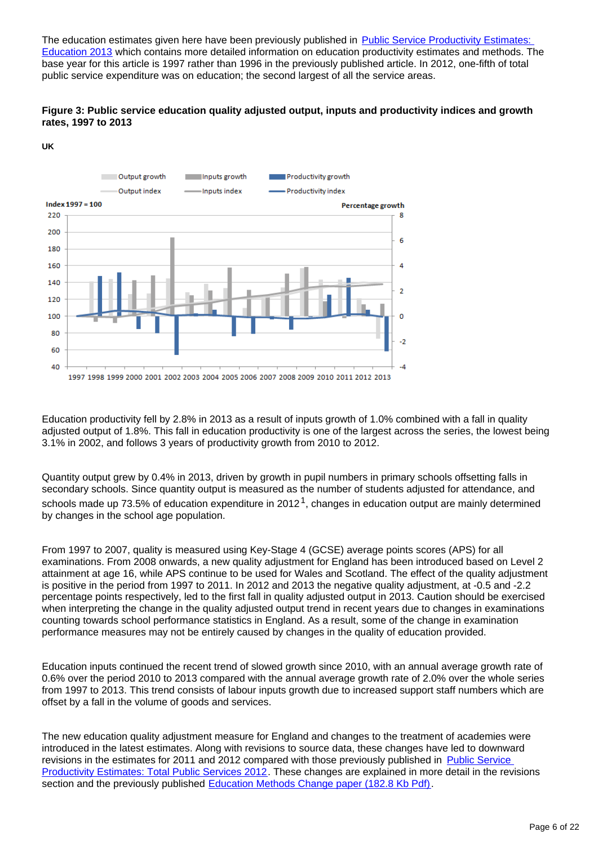The education estimates given here have been previously published in Public Service Productivity Estimates: [Education 2013](http://www.ons.gov.uk/ons/rel/psa/public-sector-productivity-estimates--education/2013-/art-public-sector-productivity-estimates--education-2013.html) which contains more detailed information on education productivity estimates and methods. The base year for this article is 1997 rather than 1996 in the previously published article. In 2012, one-fifth of total public service expenditure was on education; the second largest of all the service areas.





**UK**

Education productivity fell by 2.8% in 2013 as a result of inputs growth of 1.0% combined with a fall in quality adjusted output of 1.8%. This fall in education productivity is one of the largest across the series, the lowest being 3.1% in 2002, and follows 3 years of productivity growth from 2010 to 2012.

Quantity output grew by 0.4% in 2013, driven by growth in pupil numbers in primary schools offsetting falls in secondary schools. Since quantity output is measured as the number of students adjusted for attendance, and schools made up 73.5% of education expenditure in 2012<sup>1</sup>, changes in education output are mainly determined by changes in the school age population.

From 1997 to 2007, quality is measured using Key-Stage 4 (GCSE) average points scores (APS) for all examinations. From 2008 onwards, a new quality adjustment for England has been introduced based on Level 2 attainment at age 16, while APS continue to be used for Wales and Scotland. The effect of the quality adjustment is positive in the period from 1997 to 2011. In 2012 and 2013 the negative quality adjustment, at -0.5 and -2.2 percentage points respectively, led to the first fall in quality adjusted output in 2013. Caution should be exercised when interpreting the change in the quality adjusted output trend in recent years due to changes in examinations counting towards school performance statistics in England. As a result, some of the change in examination performance measures may not be entirely caused by changes in the quality of education provided.

Education inputs continued the recent trend of slowed growth since 2010, with an annual average growth rate of 0.6% over the period 2010 to 2013 compared with the annual average growth rate of 2.0% over the whole series from 1997 to 2013. This trend consists of labour inputs growth due to increased support staff numbers which are offset by a fall in the volume of goods and services.

The new education quality adjustment measure for England and changes to the treatment of academies were introduced in the latest estimates. Along with revisions to source data, these changes have led to downward revisions in the estimates for 2011 and 2012 compared with those previously published in [Public Service](http://www.ons.gov.uk/ons/rel/psa/public-sector-productivity-estimates--total-public-sector/2012/art-public-service-productivity-estimates--total-public-services--2012--uk.html)  [Productivity Estimates: Total Public Services 2012.](http://www.ons.gov.uk/ons/rel/psa/public-sector-productivity-estimates--total-public-sector/2012/art-public-service-productivity-estimates--total-public-services--2012--uk.html) These changes are explained in more detail in the revisions section and the previously published [Education Methods Change paper \(182.8 Kb Pdf\)](http://www.ons.gov.uk/ons/guide-method/method-quality/specific/public-sector-methodology/articles/methods-change-in-public-service-productivity-estimates--education-2013.pdf).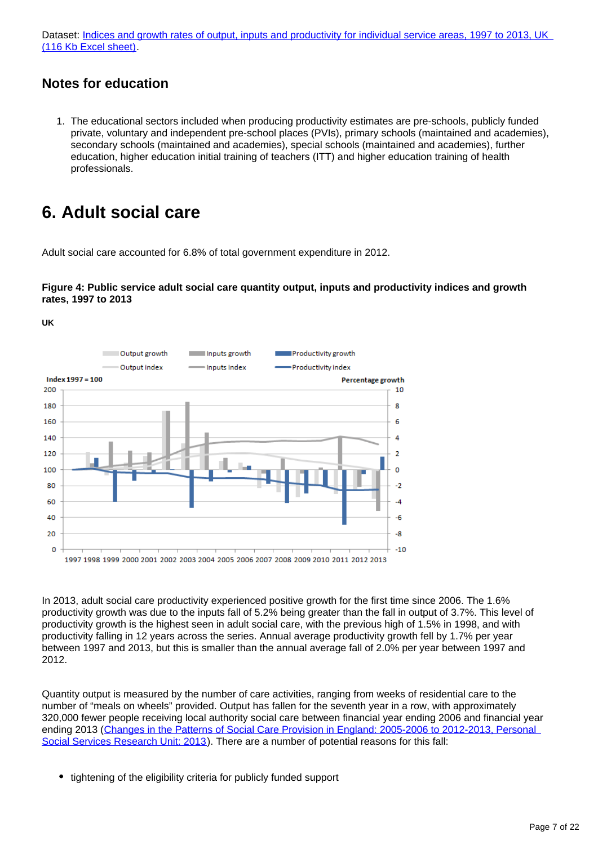Dataset: Indices and growth rates of output, inputs and productivity for individual service areas, 1997 to 2013, UK [\(116 Kb Excel sheet\).](http://www.ons.gov.uk/ons/rel/psa/public-sector-productivity-estimates--total-public-sector/2013/rft-2.xls)

### **Notes for education**

1. The educational sectors included when producing productivity estimates are pre-schools, publicly funded private, voluntary and independent pre-school places (PVIs), primary schools (maintained and academies), secondary schools (maintained and academies), special schools (maintained and academies), further education, higher education initial training of teachers (ITT) and higher education training of health professionals.

### <span id="page-6-0"></span>**6. Adult social care**

Adult social care accounted for 6.8% of total government expenditure in 2012.

### **Figure 4: Public service adult social care quantity output, inputs and productivity indices and growth rates, 1997 to 2013**

**UK**



In 2013, adult social care productivity experienced positive growth for the first time since 2006. The 1.6% productivity growth was due to the inputs fall of 5.2% being greater than the fall in output of 3.7%. This level of productivity growth is the highest seen in adult social care, with the previous high of 1.5% in 1998, and with productivity falling in 12 years across the series. Annual average productivity growth fell by 1.7% per year between 1997 and 2013, but this is smaller than the annual average fall of 2.0% per year between 1997 and 2012.

Quantity output is measured by the number of care activities, ranging from weeks of residential care to the number of "meals on wheels" provided. Output has fallen for the seventh year in a row, with approximately 320,000 fewer people receiving local authority social care between financial year ending 2006 and financial year ending 2013 ([Changes in the Patterns of Social Care Provision in England: 2005-2006 to 2012-2013, Personal](http://www.pssru.ac.uk/pdf/dp2867.pdf)  [Social Services Research Unit: 2013](http://www.pssru.ac.uk/pdf/dp2867.pdf)). There are a number of potential reasons for this fall:

• tightening of the eligibility criteria for publicly funded support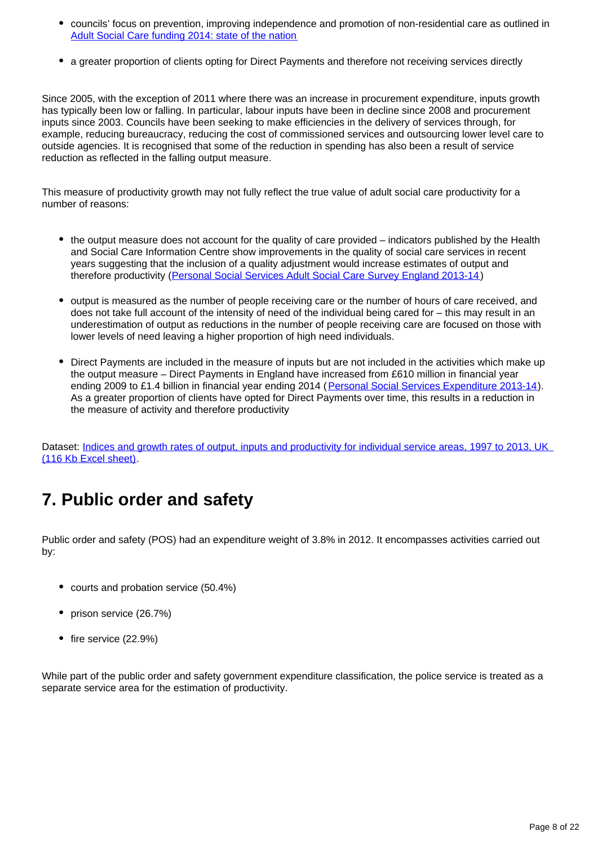- councils' focus on prevention, improving independence and promotion of non-residential care as outlined in [Adult Social Care funding 2014: state of the nation](http://www.local.gov.uk/documents/10180/5854661/Adult+social+care+funding+2014+state+of+the+nation+report/e32866fa-d512-4e77-9961-8861d2d93238)
- a greater proportion of clients opting for Direct Payments and therefore not receiving services directly

Since 2005, with the exception of 2011 where there was an increase in procurement expenditure, inputs growth has typically been low or falling. In particular, labour inputs have been in decline since 2008 and procurement inputs since 2003. Councils have been seeking to make efficiencies in the delivery of services through, for example, reducing bureaucracy, reducing the cost of commissioned services and outsourcing lower level care to outside agencies. It is recognised that some of the reduction in spending has also been a result of service reduction as reflected in the falling output measure.

This measure of productivity growth may not fully reflect the true value of adult social care productivity for a number of reasons:

- the output measure does not account for the quality of care provided indicators published by the Health and Social Care Information Centre show improvements in the quality of social care services in recent years suggesting that the inclusion of a quality adjustment would increase estimates of output and therefore productivity ([Personal Social Services Adult Social Care Survey England 2013-14](http://www.hscic.gov.uk/article/2021/Website-Search?productid=16657&q=personal%20adult%20social%20care%20survey%202013-14&sort=Relevance&size=10&page=1&area=both#top))
- output is measured as the number of people receiving care or the number of hours of care received, and does not take full account of the intensity of need of the individual being cared for – this may result in an underestimation of output as reductions in the number of people receiving care are focused on those with lower levels of need leaving a higher proportion of high need individuals.
- Direct Payments are included in the measure of inputs but are not included in the activities which make up the output measure – Direct Payments in England have increased from £610 million in financial year ending 2009 to £1.4 billion in financial year ending 2014 ([Personal Social Services Expenditure 2013-14](http://www.hscic.gov.uk/searchcatalogue?productid=16602&topics=2%2FSocial%20care%2FSocial%20care%20expenditure%2FPersonal%20Social%20Services%20expenditure&sort=Most%20recent&size=10&page=1#top)). As a greater proportion of clients have opted for Direct Payments over time, this results in a reduction in the measure of activity and therefore productivity

Dataset: [Indices and growth rates of output, inputs and productivity for individual service areas, 1997 to 2013, UK](http://www.ons.gov.uk/ons/rel/psa/public-sector-productivity-estimates--total-public-sector/2013/rft-2.xls)  [\(116 Kb Excel sheet\).](http://www.ons.gov.uk/ons/rel/psa/public-sector-productivity-estimates--total-public-sector/2013/rft-2.xls)

### <span id="page-7-0"></span>**7. Public order and safety**

Public order and safety (POS) had an expenditure weight of 3.8% in 2012. It encompasses activities carried out by:

- courts and probation service (50.4%)
- prison service (26.7%)
- $\bullet$  fire service (22.9%)

While part of the public order and safety government expenditure classification, the police service is treated as a separate service area for the estimation of productivity.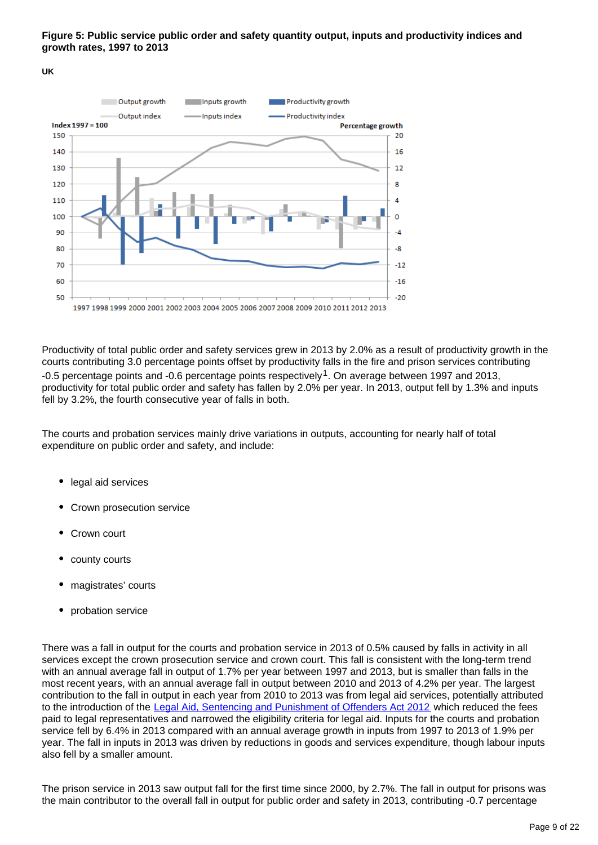### **Figure 5: Public service public order and safety quantity output, inputs and productivity indices and growth rates, 1997 to 2013**

**UK**



Productivity of total public order and safety services grew in 2013 by 2.0% as a result of productivity growth in the courts contributing 3.0 percentage points offset by productivity falls in the fire and prison services contributing -0.5 percentage points and -0.6 percentage points respectively<sup>1</sup>. On average between 1997 and 2013, productivity for total public order and safety has fallen by 2.0% per year. In 2013, output fell by 1.3% and inputs fell by 3.2%, the fourth consecutive year of falls in both.

The courts and probation services mainly drive variations in outputs, accounting for nearly half of total expenditure on public order and safety, and include:

- legal aid services
- Crown prosecution service
- Crown court
- county courts
- magistrates' courts
- probation service

There was a fall in output for the courts and probation service in 2013 of 0.5% caused by falls in activity in all services except the crown prosecution service and crown court. This fall is consistent with the long-term trend with an annual average fall in output of 1.7% per year between 1997 and 2013, but is smaller than falls in the most recent years, with an annual average fall in output between 2010 and 2013 of 4.2% per year. The largest contribution to the fall in output in each year from 2010 to 2013 was from legal aid services, potentially attributed to the introduction of the [Legal Aid, Sentencing and Punishment of Offenders Act 2012](http://www.legislation.gov.uk/ukpga/2012/10/contents/enacted) which reduced the fees paid to legal representatives and narrowed the eligibility criteria for legal aid. Inputs for the courts and probation service fell by 6.4% in 2013 compared with an annual average growth in inputs from 1997 to 2013 of 1.9% per year. The fall in inputs in 2013 was driven by reductions in goods and services expenditure, though labour inputs also fell by a smaller amount.

The prison service in 2013 saw output fall for the first time since 2000, by 2.7%. The fall in output for prisons was the main contributor to the overall fall in output for public order and safety in 2013, contributing -0.7 percentage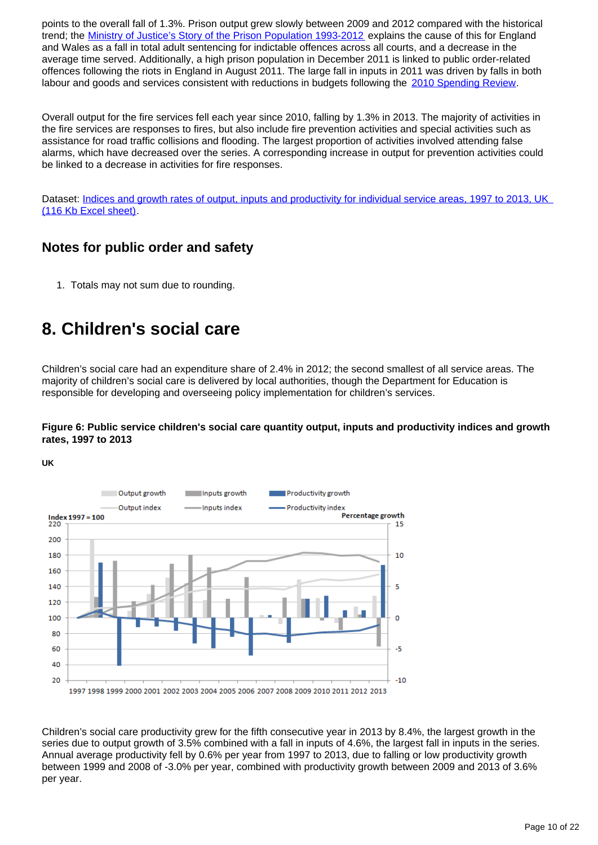points to the overall fall of 1.3%. Prison output grew slowly between 2009 and 2012 compared with the historical trend; the [Ministry of Justice's Story of the Prison Population 1993-2012](https://www.gov.uk/government/statistics/story-of-the-prison-population-1993-2012) explains the cause of this for England and Wales as a fall in total adult sentencing for indictable offences across all courts, and a decrease in the average time served. Additionally, a high prison population in December 2011 is linked to public order-related offences following the riots in England in August 2011. The large fall in inputs in 2011 was driven by falls in both labour and goods and services consistent with reductions in budgets following the [2010 Spending Review](https://www.gov.uk/government/uploads/system/uploads/attachment_data/file/203826/Spending_review_2010.pdf).

Overall output for the fire services fell each year since 2010, falling by 1.3% in 2013. The majority of activities in the fire services are responses to fires, but also include fire prevention activities and special activities such as assistance for road traffic collisions and flooding. The largest proportion of activities involved attending false alarms, which have decreased over the series. A corresponding increase in output for prevention activities could be linked to a decrease in activities for fire responses.

Dataset: Indices and growth rates of output, inputs and productivity for individual service areas, 1997 to 2013, UK [\(116 Kb Excel sheet\).](http://www.ons.gov.uk/ons/rel/psa/public-sector-productivity-estimates--total-public-sector/2013/rft-2.xls)

### **Notes for public order and safety**

1. Totals may not sum due to rounding.

### <span id="page-9-0"></span>**8. Children's social care**

Children's social care had an expenditure share of 2.4% in 2012; the second smallest of all service areas. The majority of children's social care is delivered by local authorities, though the Department for Education is responsible for developing and overseeing policy implementation for children's services.

### **Figure 6: Public service children's social care quantity output, inputs and productivity indices and growth rates, 1997 to 2013**

**UK**



Children's social care productivity grew for the fifth consecutive year in 2013 by 8.4%, the largest growth in the series due to output growth of 3.5% combined with a fall in inputs of 4.6%, the largest fall in inputs in the series. Annual average productivity fell by 0.6% per year from 1997 to 2013, due to falling or low productivity growth between 1999 and 2008 of -3.0% per year, combined with productivity growth between 2009 and 2013 of 3.6% per year.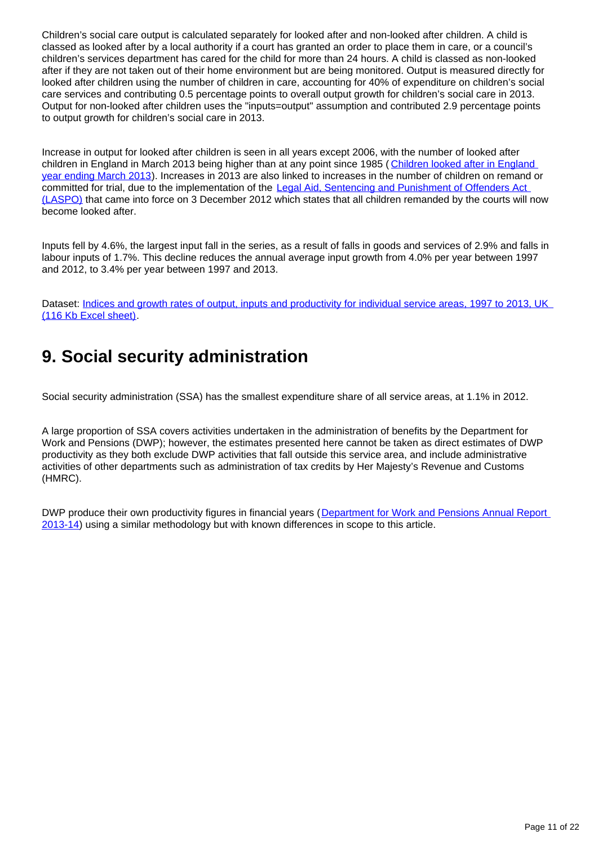Children's social care output is calculated separately for looked after and non-looked after children. A child is classed as looked after by a local authority if a court has granted an order to place them in care, or a council's children's services department has cared for the child for more than 24 hours. A child is classed as non-looked after if they are not taken out of their home environment but are being monitored. Output is measured directly for looked after children using the number of children in care, accounting for 40% of expenditure on children's social care services and contributing 0.5 percentage points to overall output growth for children's social care in 2013. Output for non-looked after children uses the "inputs=output" assumption and contributed 2.9 percentage points to output growth for children's social care in 2013.

Increase in output for looked after children is seen in all years except 2006, with the number of looked after children in England in March 2013 being higher than at any point since 1985 ( [Children looked after in England](https://www.gov.uk/government/uploads/system/uploads/attachment_data/file/244872/SFR36_2013.pdf)  [year ending March 2013\)](https://www.gov.uk/government/uploads/system/uploads/attachment_data/file/244872/SFR36_2013.pdf). Increases in 2013 are also linked to increases in the number of children on remand or committed for trial, due to the implementation of the Legal Aid, Sentencing and Punishment of Offenders Act [\(LASPO\)](http://www.legislation.gov.uk/ukpga/2012/10/contents/enacted) that came into force on 3 December 2012 which states that all children remanded by the courts will now become looked after.

Inputs fell by 4.6%, the largest input fall in the series, as a result of falls in goods and services of 2.9% and falls in labour inputs of 1.7%. This decline reduces the annual average input growth from 4.0% per year between 1997 and 2012, to 3.4% per year between 1997 and 2013.

Dataset: Indices and growth rates of output, inputs and productivity for individual service areas, 1997 to 2013, UK [\(116 Kb Excel sheet\).](http://www.ons.gov.uk/ons/rel/psa/public-sector-productivity-estimates--total-public-sector/2013/rft-2.xls)

### <span id="page-10-0"></span>**9. Social security administration**

Social security administration (SSA) has the smallest expenditure share of all service areas, at 1.1% in 2012.

A large proportion of SSA covers activities undertaken in the administration of benefits by the Department for Work and Pensions (DWP); however, the estimates presented here cannot be taken as direct estimates of DWP productivity as they both exclude DWP activities that fall outside this service area, and include administrative activities of other departments such as administration of tax credits by Her Majesty's Revenue and Customs (HMRC).

DWP produce their own productivity figures in financial years ([Department for Work and Pensions Annual Report](https://www.gov.uk/government/uploads/system/uploads/attachment_data/file/323953/dwp-annual-report-accounts-2013-2014.PDF)  [2013-14\)](https://www.gov.uk/government/uploads/system/uploads/attachment_data/file/323953/dwp-annual-report-accounts-2013-2014.PDF) using a similar methodology but with known differences in scope to this article.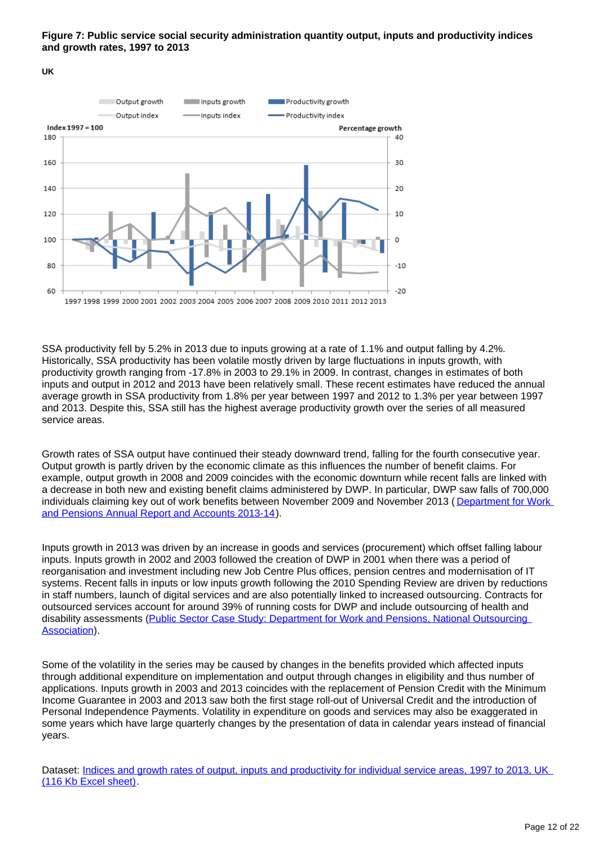### **Figure 7: Public service social security administration quantity output, inputs and productivity indices and growth rates, 1997 to 2013**

**UK**



SSA productivity fell by 5.2% in 2013 due to inputs growing at a rate of 1.1% and output falling by 4.2%. Historically, SSA productivity has been volatile mostly driven by large fluctuations in inputs growth, with productivity growth ranging from -17.8% in 2003 to 29.1% in 2009. In contrast, changes in estimates of both inputs and output in 2012 and 2013 have been relatively small. These recent estimates have reduced the annual average growth in SSA productivity from 1.8% per year between 1997 and 2012 to 1.3% per year between 1997 and 2013. Despite this, SSA still has the highest average productivity growth over the series of all measured service areas.

Growth rates of SSA output have continued their steady downward trend, falling for the fourth consecutive year. Output growth is partly driven by the economic climate as this influences the number of benefit claims. For example, output growth in 2008 and 2009 coincides with the economic downturn while recent falls are linked with a decrease in both new and existing benefit claims administered by DWP. In particular, DWP saw falls of 700,000 individuals claiming key out of work benefits between November 2009 and November 2013 (Department for Work [and Pensions Annual Report and Accounts 2013-14\)](https://www.gov.uk/government/uploads/system/uploads/attachment_data/file/323953/dwp-annual-report-accounts-2013-2014.PDF).

Inputs growth in 2013 was driven by an increase in goods and services (procurement) which offset falling labour inputs. Inputs growth in 2002 and 2003 followed the creation of DWP in 2001 when there was a period of reorganisation and investment including new Job Centre Plus offices, pension centres and modernisation of IT systems. Recent falls in inputs or low inputs growth following the 2010 Spending Review are driven by reductions in staff numbers, launch of digital services and are also potentially linked to increased outsourcing. Contracts for outsourced services account for around 39% of running costs for DWP and include outsourcing of health and disability assessments (Public Sector Case Study: Department for Work and Pensions, National Outsourcing [Association](http://www.noa.co.uk/files/287.pdf)).

Some of the volatility in the series may be caused by changes in the benefits provided which affected inputs through additional expenditure on implementation and output through changes in eligibility and thus number of applications. Inputs growth in 2003 and 2013 coincides with the replacement of Pension Credit with the Minimum Income Guarantee in 2003 and 2013 saw both the first stage roll-out of Universal Credit and the introduction of Personal Independence Payments. Volatility in expenditure on goods and services may also be exaggerated in some years which have large quarterly changes by the presentation of data in calendar years instead of financial years.

Dataset: Indices and growth rates of output, inputs and productivity for individual service areas, 1997 to 2013, UK [\(116 Kb Excel sheet\).](http://www.ons.gov.uk/ons/rel/psa/public-sector-productivity-estimates--total-public-sector/2013/rft-2.xls)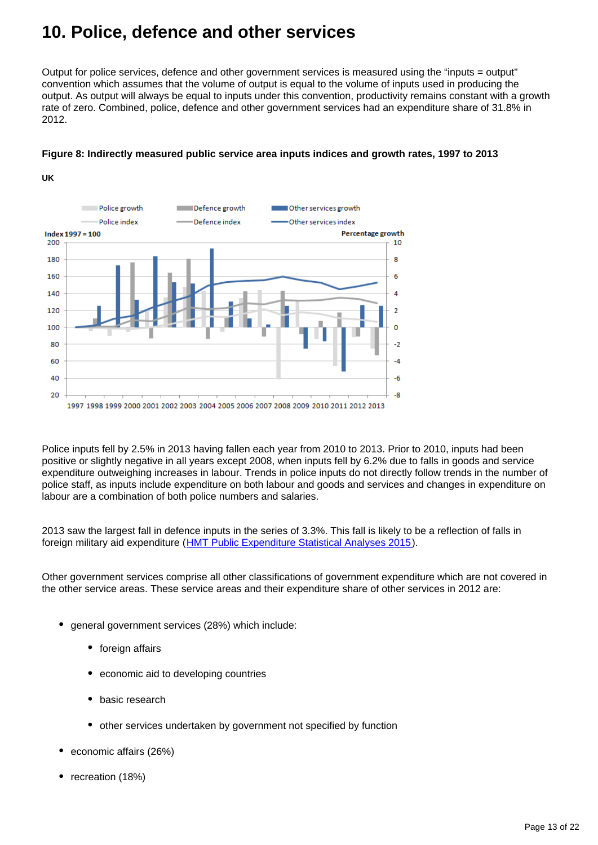### <span id="page-12-0"></span>**10. Police, defence and other services**

Output for police services, defence and other government services is measured using the "inputs = output" convention which assumes that the volume of output is equal to the volume of inputs used in producing the output. As output will always be equal to inputs under this convention, productivity remains constant with a growth rate of zero. Combined, police, defence and other government services had an expenditure share of 31.8% in 2012.



### **Figure 8: Indirectly measured public service area inputs indices and growth rates, 1997 to 2013**

Police inputs fell by 2.5% in 2013 having fallen each year from 2010 to 2013. Prior to 2010, inputs had been positive or slightly negative in all years except 2008, when inputs fell by 6.2% due to falls in goods and service expenditure outweighing increases in labour. Trends in police inputs do not directly follow trends in the number of police staff, as inputs include expenditure on both labour and goods and services and changes in expenditure on labour are a combination of both police numbers and salaries.

2013 saw the largest fall in defence inputs in the series of 3.3%. This fall is likely to be a reflection of falls in foreign military aid expenditure ([HMT Public Expenditure Statistical Analyses 2015](https://www.gov.uk/government/statistics/public-expenditure-statistical-analyses-2015)).

Other government services comprise all other classifications of government expenditure which are not covered in the other service areas. These service areas and their expenditure share of other services in 2012 are:

- general government services (28%) which include:
	- foreign affairs

**UK**

- economic aid to developing countries
- basic research
- other services undertaken by government not specified by function
- economic affairs (26%)
- recreation (18%)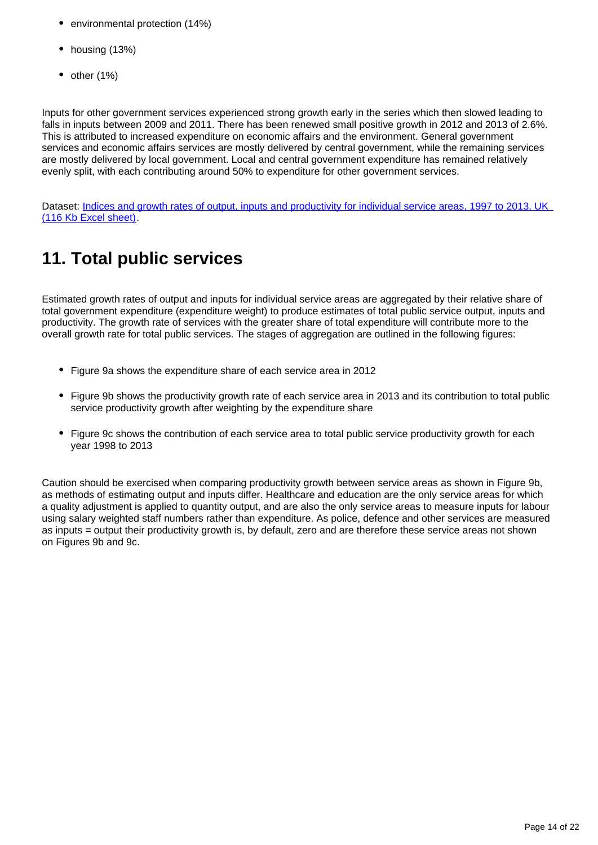- environmental protection (14%)
- housing (13%)
- $\bullet$  other (1%)

Inputs for other government services experienced strong growth early in the series which then slowed leading to falls in inputs between 2009 and 2011. There has been renewed small positive growth in 2012 and 2013 of 2.6%. This is attributed to increased expenditure on economic affairs and the environment. General government services and economic affairs services are mostly delivered by central government, while the remaining services are mostly delivered by local government. Local and central government expenditure has remained relatively evenly split, with each contributing around 50% to expenditure for other government services.

Dataset: Indices and growth rates of output, inputs and productivity for individual service areas, 1997 to 2013, UK [\(116 Kb Excel sheet\).](http://www.ons.gov.uk/ons/rel/psa/public-sector-productivity-estimates--total-public-sector/2013/rft-2.xls)

## <span id="page-13-0"></span>**11. Total public services**

Estimated growth rates of output and inputs for individual service areas are aggregated by their relative share of total government expenditure (expenditure weight) to produce estimates of total public service output, inputs and productivity. The growth rate of services with the greater share of total expenditure will contribute more to the overall growth rate for total public services. The stages of aggregation are outlined in the following figures:

- Figure 9a shows the expenditure share of each service area in 2012
- Figure 9b shows the productivity growth rate of each service area in 2013 and its contribution to total public service productivity growth after weighting by the expenditure share
- Figure 9c shows the contribution of each service area to total public service productivity growth for each year 1998 to 2013

Caution should be exercised when comparing productivity growth between service areas as shown in Figure 9b, as methods of estimating output and inputs differ. Healthcare and education are the only service areas for which a quality adjustment is applied to quantity output, and are also the only service areas to measure inputs for labour using salary weighted staff numbers rather than expenditure. As police, defence and other services are measured as inputs = output their productivity growth is, by default, zero and are therefore these service areas not shown on Figures 9b and 9c.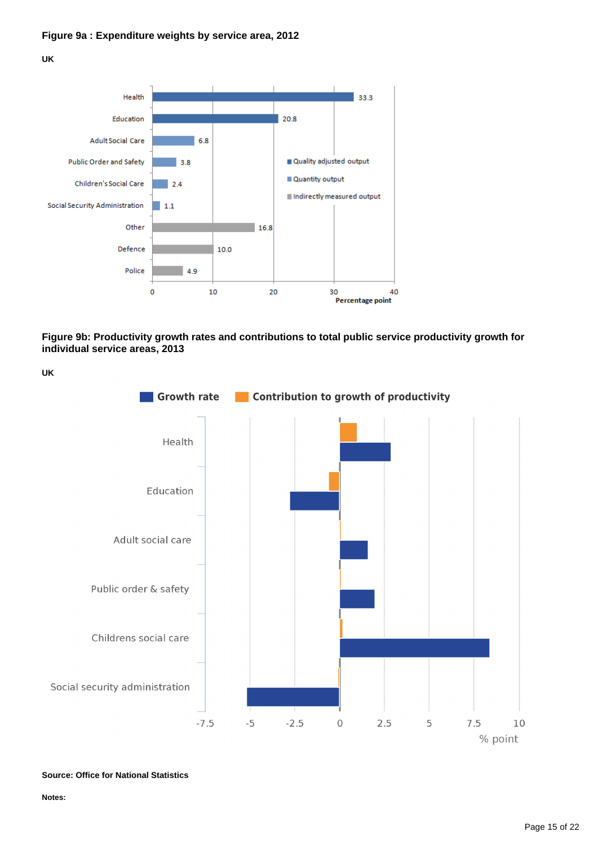

**Figure 9b: Productivity growth rates and contributions to total public service productivity growth for individual service areas, 2013**



**Source: Office for National Statistics**

**Notes:**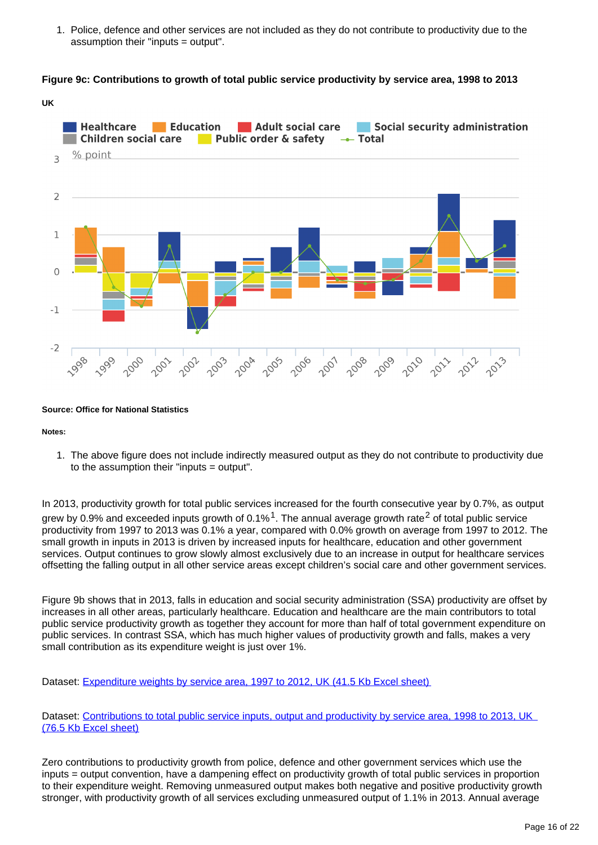1. Police, defence and other services are not included as they do not contribute to productivity due to the assumption their "inputs = output".

#### **Figure 9c: Contributions to growth of total public service productivity by service area, 1998 to 2013**



#### **Source: Office for National Statistics**

**Notes:**

1. The above figure does not include indirectly measured output as they do not contribute to productivity due to the assumption their "inputs = output".

In 2013, productivity growth for total public services increased for the fourth consecutive year by 0.7%, as output grew by 0.9% and exceeded inputs growth of 0.1%  $1$ . The annual average growth rate<sup>2</sup> of total public service productivity from 1997 to 2013 was 0.1% a year, compared with 0.0% growth on average from 1997 to 2012. The small growth in inputs in 2013 is driven by increased inputs for healthcare, education and other government services. Output continues to grow slowly almost exclusively due to an increase in output for healthcare services offsetting the falling output in all other service areas except children's social care and other government services.

Figure 9b shows that in 2013, falls in education and social security administration (SSA) productivity are offset by increases in all other areas, particularly healthcare. Education and healthcare are the main contributors to total public service productivity growth as together they account for more than half of total government expenditure on public services. In contrast SSA, which has much higher values of productivity growth and falls, makes a very small contribution as its expenditure weight is just over 1%.

Dataset: [Expenditure weights by service area, 1997 to 2012, UK \(41.5 Kb Excel sheet\)](http://www.ons.gov.uk/ons/rel/psa/public-sector-productivity-estimates--total-public-sector/2013/rft-3.xls)

Dataset: Contributions to total public service inputs, output and productivity by service area, 1998 to 2013, UK [\(76.5 Kb Excel sheet\)](http://www.ons.gov.uk/ons/rel/psa/public-sector-productivity-estimates--total-public-sector/2013/rft-4.xls)

Zero contributions to productivity growth from police, defence and other government services which use the inputs = output convention, have a dampening effect on productivity growth of total public services in proportion to their expenditure weight. Removing unmeasured output makes both negative and positive productivity growth stronger, with productivity growth of all services excluding unmeasured output of 1.1% in 2013. Annual average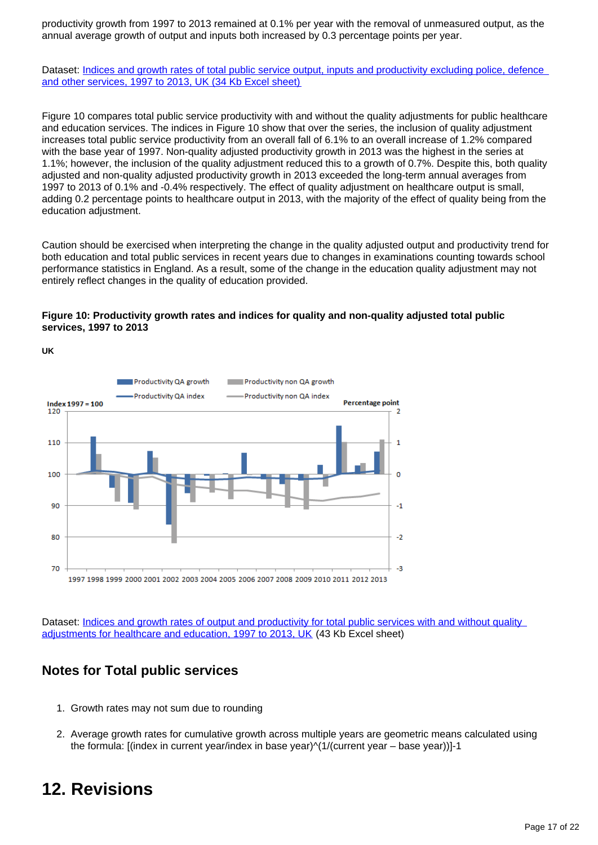productivity growth from 1997 to 2013 remained at 0.1% per year with the removal of unmeasured output, as the annual average growth of output and inputs both increased by 0.3 percentage points per year.

Dataset: [Indices and growth rates of total public service output, inputs and productivity excluding police, defence](http://www.ons.gov.uk/ons/rel/psa/public-sector-productivity-estimates--total-public-sector/2013/rft-5.xls)  [and other services, 1997 to 2013, UK \(34 Kb Excel sheet\)](http://www.ons.gov.uk/ons/rel/psa/public-sector-productivity-estimates--total-public-sector/2013/rft-5.xls)

Figure 10 compares total public service productivity with and without the quality adjustments for public healthcare and education services. The indices in Figure 10 show that over the series, the inclusion of quality adjustment increases total public service productivity from an overall fall of 6.1% to an overall increase of 1.2% compared with the base year of 1997. Non-quality adjusted productivity growth in 2013 was the highest in the series at 1.1%; however, the inclusion of the quality adjustment reduced this to a growth of 0.7%. Despite this, both quality adjusted and non-quality adjusted productivity growth in 2013 exceeded the long-term annual averages from 1997 to 2013 of 0.1% and -0.4% respectively. The effect of quality adjustment on healthcare output is small, adding 0.2 percentage points to healthcare output in 2013, with the majority of the effect of quality being from the education adjustment.

Caution should be exercised when interpreting the change in the quality adjusted output and productivity trend for both education and total public services in recent years due to changes in examinations counting towards school performance statistics in England. As a result, some of the change in the education quality adjustment may not entirely reflect changes in the quality of education provided.

#### **Figure 10: Productivity growth rates and indices for quality and non-quality adjusted total public services, 1997 to 2013**



Dataset: Indices and growth rates of output and productivity for total public services with and without quality [adjustments for healthcare and education, 1997 to 2013, UK](http://www.ons.gov.uk/ons/rel/psa/public-sector-productivity-estimates--total-public-sector/2013/rft-6.xls) (43 Kb Excel sheet)

### **Notes for Total public services**

- 1. Growth rates may not sum due to rounding
- 2. Average growth rates for cumulative growth across multiple years are geometric means calculated using the formula: [(index in current year/index in base year)^(1/(current year – base year))]-1

### <span id="page-16-0"></span>**12. Revisions**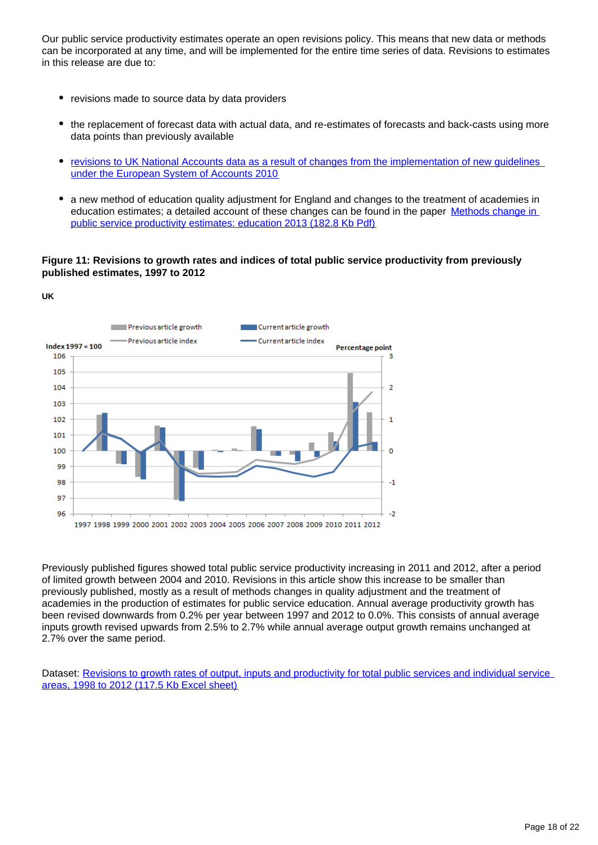Our public service productivity estimates operate an open revisions policy. This means that new data or methods can be incorporated at any time, and will be implemented for the entire time series of data. Revisions to estimates in this release are due to:

revisions made to source data by data providers

**UK**

- the replacement of forecast data with actual data, and re-estimates of forecasts and back-casts using more data points than previously available
- [revisions to UK National Accounts data as a result of changes from the implementation of new guidelines](http://www.ons.gov.uk/ons/rel/naa1-rd/national-accounts-articles/impact-of-esa10-changes-on-current-price-gdp-estimates/art---impact-of-esa10-changes-on-current-price-gdp-estimates.html)  [under the European System of Accounts 2010](http://www.ons.gov.uk/ons/rel/naa1-rd/national-accounts-articles/impact-of-esa10-changes-on-current-price-gdp-estimates/art---impact-of-esa10-changes-on-current-price-gdp-estimates.html)
- a new method of education quality adjustment for England and changes to the treatment of academies in education estimates; a detailed account of these changes can be found in the paper Methods change in [public service productivity estimates: education 2013 \(182.8 Kb Pdf\)](http://www.ons.gov.uk/ons/guide-method/method-quality/specific/public-sector-methodology/articles/methods-change-in-public-service-productivity-estimates--education-2013.pdf)

### **Figure 11: Revisions to growth rates and indices of total public service productivity from previously published estimates, 1997 to 2012**



Previously published figures showed total public service productivity increasing in 2011 and 2012, after a period of limited growth between 2004 and 2010. Revisions in this article show this increase to be smaller than previously published, mostly as a result of methods changes in quality adjustment and the treatment of academies in the production of estimates for public service education. Annual average productivity growth has been revised downwards from 0.2% per year between 1997 and 2012 to 0.0%. This consists of annual average inputs growth revised upwards from 2.5% to 2.7% while annual average output growth remains unchanged at 2.7% over the same period.

Dataset: [Revisions to growth rates of output, inputs and productivity for total public services and individual service](http://www.ons.gov.uk/ons/rel/psa/public-sector-productivity-estimates--total-public-sector/2013/rft-7.xls)  [areas, 1998 to 2012 \(117.5 Kb Excel sheet\)](http://www.ons.gov.uk/ons/rel/psa/public-sector-productivity-estimates--total-public-sector/2013/rft-7.xls)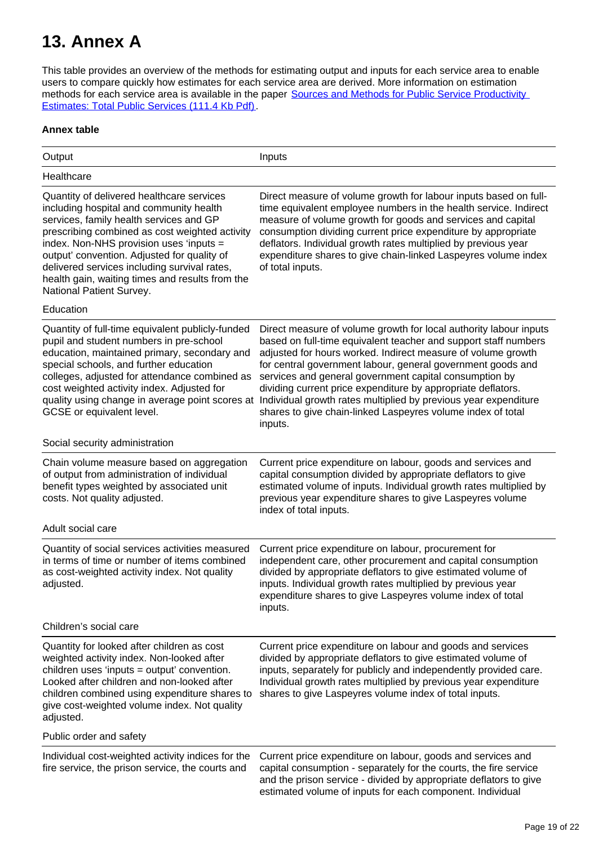## <span id="page-18-0"></span>**13. Annex A**

This table provides an overview of the methods for estimating output and inputs for each service area to enable users to compare quickly how estimates for each service area are derived. More information on estimation methods for each service area is available in the paper Sources and Methods for Public Service Productivity [Estimates: Total Public Services \(111.4 Kb Pdf\).](http://www.ons.gov.uk/ons/guide-method/method-quality/specific/public-sector-methodology/articles/sources-and-methods.pdf)

### **Annex table**

| Output                                                                                                                                                                                                                                                                                                                                                                                                     | Inputs                                                                                                                                                                                                                                                                                                                                                                                                                                                                                                                                     |
|------------------------------------------------------------------------------------------------------------------------------------------------------------------------------------------------------------------------------------------------------------------------------------------------------------------------------------------------------------------------------------------------------------|--------------------------------------------------------------------------------------------------------------------------------------------------------------------------------------------------------------------------------------------------------------------------------------------------------------------------------------------------------------------------------------------------------------------------------------------------------------------------------------------------------------------------------------------|
| Healthcare                                                                                                                                                                                                                                                                                                                                                                                                 |                                                                                                                                                                                                                                                                                                                                                                                                                                                                                                                                            |
| Quantity of delivered healthcare services<br>including hospital and community health<br>services, family health services and GP<br>prescribing combined as cost weighted activity<br>index. Non-NHS provision uses 'inputs =<br>output' convention. Adjusted for quality of<br>delivered services including survival rates,<br>health gain, waiting times and results from the<br>National Patient Survey. | Direct measure of volume growth for labour inputs based on full-<br>time equivalent employee numbers in the health service. Indirect<br>measure of volume growth for goods and services and capital<br>consumption dividing current price expenditure by appropriate<br>deflators. Individual growth rates multiplied by previous year<br>expenditure shares to give chain-linked Laspeyres volume index<br>of total inputs.                                                                                                               |
| Education                                                                                                                                                                                                                                                                                                                                                                                                  |                                                                                                                                                                                                                                                                                                                                                                                                                                                                                                                                            |
| Quantity of full-time equivalent publicly-funded<br>pupil and student numbers in pre-school<br>education, maintained primary, secondary and<br>special schools, and further education<br>colleges, adjusted for attendance combined as<br>cost weighted activity index. Adjusted for<br>quality using change in average point scores at<br>GCSE or equivalent level.                                       | Direct measure of volume growth for local authority labour inputs<br>based on full-time equivalent teacher and support staff numbers<br>adjusted for hours worked. Indirect measure of volume growth<br>for central government labour, general government goods and<br>services and general government capital consumption by<br>dividing current price expenditure by appropriate deflators.<br>Individual growth rates multiplied by previous year expenditure<br>shares to give chain-linked Laspeyres volume index of total<br>inputs. |
| Social security administration                                                                                                                                                                                                                                                                                                                                                                             |                                                                                                                                                                                                                                                                                                                                                                                                                                                                                                                                            |
| Chain volume measure based on aggregation<br>of output from administration of individual<br>benefit types weighted by associated unit<br>costs. Not quality adjusted.                                                                                                                                                                                                                                      | Current price expenditure on labour, goods and services and<br>capital consumption divided by appropriate deflators to give<br>estimated volume of inputs. Individual growth rates multiplied by<br>previous year expenditure shares to give Laspeyres volume<br>index of total inputs.                                                                                                                                                                                                                                                    |
| Adult social care                                                                                                                                                                                                                                                                                                                                                                                          |                                                                                                                                                                                                                                                                                                                                                                                                                                                                                                                                            |
| Quantity of social services activities measured<br>in terms of time or number of items combined<br>as cost-weighted activity index. Not quality<br>adjusted.                                                                                                                                                                                                                                               | Current price expenditure on labour, procurement for<br>independent care, other procurement and capital consumption<br>divided by appropriate deflators to give estimated volume of<br>inputs. Individual growth rates multiplied by previous year<br>expenditure shares to give Laspeyres volume index of total<br>inputs.                                                                                                                                                                                                                |
| Children's social care                                                                                                                                                                                                                                                                                                                                                                                     |                                                                                                                                                                                                                                                                                                                                                                                                                                                                                                                                            |
| Quantity for looked after children as cost<br>weighted activity index. Non-looked after<br>children uses 'inputs = output' convention.<br>Looked after children and non-looked after<br>children combined using expenditure shares to<br>give cost-weighted volume index. Not quality<br>adjusted.                                                                                                         | Current price expenditure on labour and goods and services<br>divided by appropriate deflators to give estimated volume of<br>inputs, separately for publicly and independently provided care.<br>Individual growth rates multiplied by previous year expenditure<br>shares to give Laspeyres volume index of total inputs.                                                                                                                                                                                                                |
| Public order and safety                                                                                                                                                                                                                                                                                                                                                                                    |                                                                                                                                                                                                                                                                                                                                                                                                                                                                                                                                            |
| Individual cost-weighted activity indices for the<br>fire service, the prison service, the courts and                                                                                                                                                                                                                                                                                                      | Current price expenditure on labour, goods and services and<br>capital consumption - separately for the courts, the fire service<br>and the prison service - divided by appropriate deflators to give<br>estimated volume of inputs for each component. Individual                                                                                                                                                                                                                                                                         |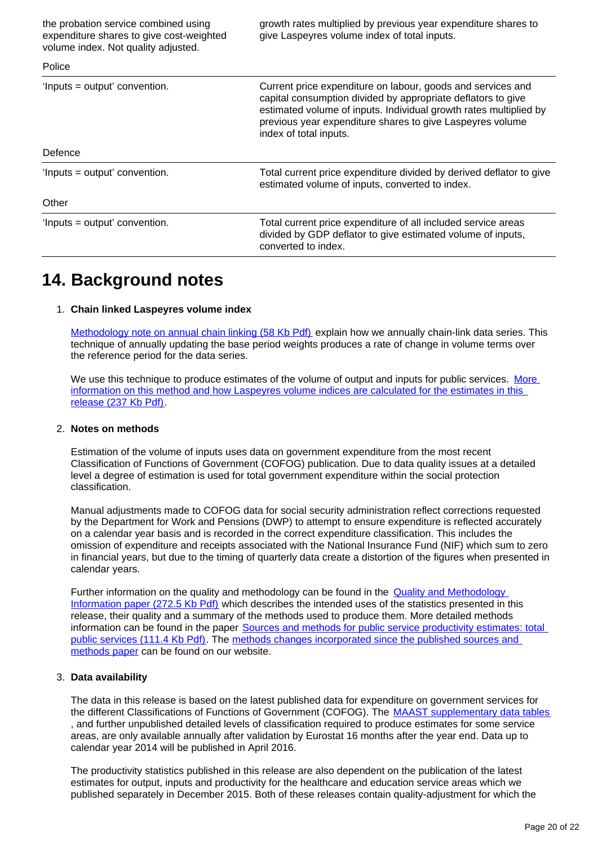| the probation service combined using<br>expenditure shares to give cost-weighted<br>volume index. Not quality adjusted. | growth rates multiplied by previous year expenditure shares to<br>give Laspeyres volume index of total inputs.                                                                                                                                                                          |  |
|-------------------------------------------------------------------------------------------------------------------------|-----------------------------------------------------------------------------------------------------------------------------------------------------------------------------------------------------------------------------------------------------------------------------------------|--|
| Police                                                                                                                  |                                                                                                                                                                                                                                                                                         |  |
| 'Inputs = output' convention.                                                                                           | Current price expenditure on labour, goods and services and<br>capital consumption divided by appropriate deflators to give<br>estimated volume of inputs. Individual growth rates multiplied by<br>previous year expenditure shares to give Laspeyres volume<br>index of total inputs. |  |
| Defence                                                                                                                 |                                                                                                                                                                                                                                                                                         |  |
| 'Inputs = output' convention.                                                                                           | Total current price expenditure divided by derived deflator to give<br>estimated volume of inputs, converted to index.                                                                                                                                                                  |  |
| Other                                                                                                                   |                                                                                                                                                                                                                                                                                         |  |
| 'Inputs = output' convention.                                                                                           | Total current price expenditure of all included service areas<br>divided by GDP deflator to give estimated volume of inputs,<br>converted to index.                                                                                                                                     |  |

### <span id="page-19-0"></span>**14. Background notes**

### 1. **Chain linked Laspeyres volume index**

[Methodology note on annual chain linking \(58 Kb Pdf\)](http://www.ons.gov.uk/ons/rel/elmr/economic-trends--discontinued-/no--630--may-2006/methodological-note--annual-chain-linking.pdf) explain how we annually chain-link data series. This technique of annually updating the base period weights produces a rate of change in volume terms over the reference period for the data series.

We use this technique to produce estimates of the volume of output and inputs for public services. More [information on this method and how Laspeyres volume indices are calculated for the estimates in this](http://www.ons.gov.uk/ons/guide-method/ukcemga/publications-home/publications/archive/documentation-on-current-methods-used-for-national-accounts.pdf)  [release \(237 Kb Pdf\).](http://www.ons.gov.uk/ons/guide-method/ukcemga/publications-home/publications/archive/documentation-on-current-methods-used-for-national-accounts.pdf)

#### 2. **Notes on methods**

Estimation of the volume of inputs uses data on government expenditure from the most recent Classification of Functions of Government (COFOG) publication. Due to data quality issues at a detailed level a degree of estimation is used for total government expenditure within the social protection classification.

Manual adjustments made to COFOG data for social security administration reflect corrections requested by the Department for Work and Pensions (DWP) to attempt to ensure expenditure is reflected accurately on a calendar year basis and is recorded in the correct expenditure classification. This includes the omission of expenditure and receipts associated with the National Insurance Fund (NIF) which sum to zero in financial years, but due to the timing of quarterly data create a distortion of the figures when presented in calendar years.

Further information on the quality and methodology can be found in the **Quality and Methodology** [Information paper \(272.5 Kb Pdf\)](http://www.ons.gov.uk/ons/guide-method/method-quality/quality/quality-information/economic-statistics/total-public-service-output-and-productivity.pdf) which describes the intended uses of the statistics presented in this release, their quality and a summary of the methods used to produce them. More detailed methods information can be found in the paper Sources and methods for public service productivity estimates: total [public services \(111.4 Kb Pdf\)](http://www.ons.gov.uk/ons/guide-method/method-quality/specific/public-sector-methodology/articles/sources-and-methods.pdf). The [methods changes incorporated since the published sources and](http://www.ons.gov.uk/ons/guide-method/method-quality/specific/public-sector-methodology/articles/index.html)  [methods paper](http://www.ons.gov.uk/ons/guide-method/method-quality/specific/public-sector-methodology/articles/index.html) can be found on our website.

### 3. **Data availability**

The data in this release is based on the latest published data for expenditure on government services for the different Classifications of Functions of Government (COFOG). The [MAAST supplementary data tables](http://www.ons.gov.uk/ons/publications/re-reference-tables.html?edition=tcm%3A77-362649) , and further unpublished detailed levels of classification required to produce estimates for some service areas, are only available annually after validation by Eurostat 16 months after the year end. Data up to calendar year 2014 will be published in April 2016.

The productivity statistics published in this release are also dependent on the publication of the latest estimates for output, inputs and productivity for the healthcare and education service areas which we published separately in December 2015. Both of these releases contain quality-adjustment for which the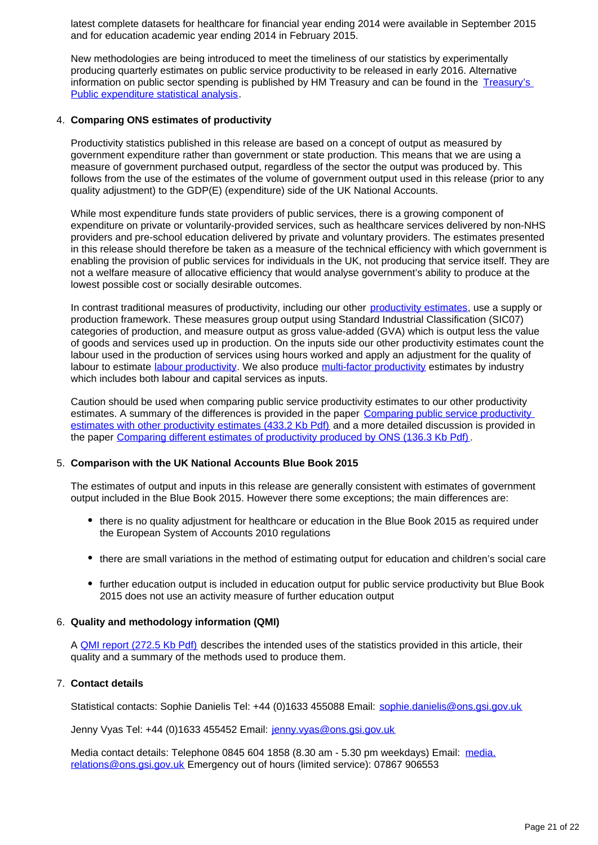latest complete datasets for healthcare for financial year ending 2014 were available in September 2015 and for education academic year ending 2014 in February 2015.

New methodologies are being introduced to meet the timeliness of our statistics by experimentally producing quarterly estimates on public service productivity to be released in early 2016. Alternative information on public sector spending is published by HM Treasury and can be found in the Treasury's [Public expenditure statistical analysis.](https://www.gov.uk/government/uploads/system/uploads/attachment_data/file/330717/PESA_2014_-_print.pdf)

#### 4. **Comparing ONS estimates of productivity**

Productivity statistics published in this release are based on a concept of output as measured by government expenditure rather than government or state production. This means that we are using a measure of government purchased output, regardless of the sector the output was produced by. This follows from the use of the estimates of the volume of government output used in this release (prior to any quality adjustment) to the GDP(E) (expenditure) side of the UK National Accounts.

While most expenditure funds state providers of public services, there is a growing component of expenditure on private or voluntarily-provided services, such as healthcare services delivered by non-NHS providers and pre-school education delivered by private and voluntary providers. The estimates presented in this release should therefore be taken as a measure of the technical efficiency with which government is enabling the provision of public services for individuals in the UK, not producing that service itself. They are not a welfare measure of allocative efficiency that would analyse government's ability to produce at the lowest possible cost or socially desirable outcomes.

In contrast traditional measures of productivity, including our other [productivity estimates,](http://www.ons.gov.uk/ons/taxonomy/index.html?nscl=Productivity%20Measures) use a supply or production framework. These measures group output using Standard Industrial Classification (SIC07) categories of production, and measure output as gross value-added (GVA) which is output less the value of goods and services used up in production. On the inputs side our other productivity estimates count the labour used in the production of services using hours worked and apply an adjustment for the quality of labour to estimate [labour productivity.](http://www.ons.gov.uk/ons/rel/productivity/labour-productivity/index.html) We also produce [multi-factor productivity](http://www.ons.gov.uk/ons/taxonomy/index.html?nscl=Multi-factor%20Productivity) estimates by industry which includes both labour and capital services as inputs.

Caution should be used when comparing public service productivity estimates to our other productivity estimates. A summary of the differences is provided in the paper Comparing public service productivity [estimates with other productivity estimates \(433.2 Kb Pdf\)](http://www.ons.gov.uk/ons/guide-method/method-quality/specific/economy/productivity-measures/productivity-articles/comparing-public-service-productivity-estimates.pdf) and a more detailed discussion is provided in the paper [Comparing different estimates of productivity produced by ONS \(136.3 Kb Pdf\)](http://www.ons.gov.uk/ons/rel/psa/public-service-productivity/comparing-the-different-estimates-of-productivity/comparing-the-different-estimates-of-productivity-produced-by-the-office-for-national-statistics.pdf).

#### 5. **Comparison with the UK National Accounts Blue Book 2015**

The estimates of output and inputs in this release are generally consistent with estimates of government output included in the Blue Book 2015. However there some exceptions; the main differences are:

- there is no quality adjustment for healthcare or education in the Blue Book 2015 as required under the European System of Accounts 2010 regulations
- there are small variations in the method of estimating output for education and children's social care
- further education output is included in education output for public service productivity but Blue Book 2015 does not use an activity measure of further education output

### 6. **Quality and methodology information (QMI)**

A [QMI report \(272.5 Kb Pdf\)](http://www.ons.gov.uk/ons/guide-method/method-quality/quality/quality-information/economic-statistics/total-public-service-output-and-productivity.pdf) describes the intended uses of the statistics provided in this article, their quality and a summary of the methods used to produce them.

### 7. **Contact details**

Statistical contacts: Sophie Danielis Tel: +44 (0)1633 455088 Email: sophie.danielis@ons.gsi.gov.uk

Jenny Vyas Tel: +44 (0)1633 455452 Email: jenny.vyas@ons.gsi.gov.uk

Media contact details: Telephone 0845 604 1858 (8.30 am - 5.30 pm weekdays) Email: media. relations@ons.gsi.gov.uk Emergency out of hours (limited service): 07867 906553